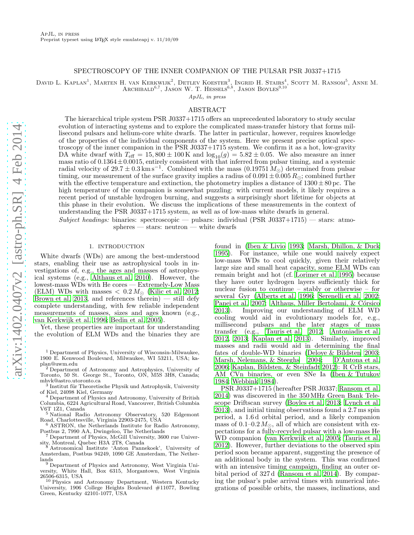### SPECTROSCOPY OF THE INNER COMPANION OF THE PULSAR PSR J0337+1715

David L. Kaplan<sup>1</sup>, Marten H. van Kerkwijk<sup>2</sup>, Detlev Koester<sup>3</sup>, Ingrid H. Stairs<sup>4</sup>, Scott M. Ransom<sup>5</sup>, Anne M.

ARCHIBALD<sup>6,7</sup>, JASON W. T. HESSELS<sup>6,8</sup>, JASON BOYLES<sup>9,10</sup>

ApJL, in press

# ABSTRACT

The hierarchical triple system PSR J0337+1715 offers an unprecedented laboratory to study secular evolution of interacting systems and to explore the complicated mass-transfer history that forms millisecond pulsars and helium-core white dwarfs. The latter in particular, however, requires knowledge of the properties of the individual components of the system. Here we present precise optical spectroscopy of the inner companion in the PSR J0337+1715 system. We confirm it as a hot, low-gravity DA white dwarf with  $T_{\text{eff}} = 15,800 \pm 100 \,\text{K}$  and  $\log_{10}(g) = 5.82 \pm 0.05$ . We also measure an inner mass ratio of  $0.1364 \pm 0.0015$ , entirely consistent with that inferred from pulsar timing, and a systemic radial velocity of 29.7  $\pm$  0.3 km s<sup>-1</sup>. Combined with the mass (0.19751  $M_{\odot}$ ) determined from pulsar timing, our measurement of the surface gravity implies a radius of  $0.091 \pm 0.005 R_{\odot}$ ; combined further with the effective temperature and extinction, the photometry implies a distance of  $1300 \pm 80$  pc. The high temperature of the companion is somewhat puzzling: with current models, it likely requires a recent period of unstable hydrogen burning, and suggests a surprisingly short lifetime for objects at this phase in their evolution. We discuss the implications of these measurements in the context of understanding the PSR J0337+1715 system, as well as of low-mass white dwarfs in general.

Subject headings: binaries: spectroscopic — pulsars: individual (PSR J0337+1715) — stars: atmospheres — stars: neutron — white dwarfs

#### 1. INTRODUCTION

<span id="page-0-0"></span>White dwarfs (WDs) are among the best-understood stars, enabling their use as astrophysical tools in investigations of, e.g., the ages and masses of astrophysical systems (e.g., [Althaus et al. 2010\)](#page-4-0). However, the lowest-mass WDs with He cores — Extremely-Low Mass (ELM) WDs with masses  $< 0.2 M_{\odot}$  [\(Kilic et al. 2012;](#page-4-1) [Brown et al. 2013,](#page-4-2) and references therein) — still defy complete understanding, with few reliable independent measurements of masses, sizes and ages known (e.g., [van Kerkwijk et al. 1996;](#page-4-3) [Bedin et al. 2005\)](#page-4-4).

Yet, these properties are important for understanding the evolution of ELM WDs and the binaries they are

<sup>1</sup> Department of Physics, University of Wisconsin-Milwaukee, 1900 E. Kenwood Boulevard, Milwaukee, WI 53211, USA; kaplan@uwm.edu

<sup>2</sup> Department of Astronomy and Astrophysics, University of Toronto, 50 St. George St., Toronto, ON, M5S 3H8, Canada; mhvk@astro.utoronto.ca

<sup>3</sup> Institut für Theoretische Physik und Astrophysik, University of Kiel, 24098 Kiel, Germany

<sup>4</sup> Department of Physics and Astronomy, University of British Columbia, 6224 Agricultural Road, Vancouver, British Columbia V6T 1Z1, Canada

<sup>5</sup> National Radio Astronomy Observatory, 520 Edgemont Road, Charlottesville, Virginia 22903-2475, USA

ASTRON, the Netherlands Institute for Radio Astronomy, Postbus 2, 7990 AA, Dwingeloo, The Netherlands

<sup>7</sup> Department of Physics, McGill University, 3600 rue University, Montreal, Quebec H3A 2T8, Canada

Astronomical Institute 'Anton Pannekoek', University of Amsterdam, Postbus 94249, 1090 GE Amsterdam, The Netherlands

<sup>9</sup> Department of Physics and Astronomy, West Virginia University, White Hall, Box 6315, Morgantown, West Virginia 26506-6315, USA

<sup>10</sup> Physics and Astronomy Department, Western Kentucky University, 1906 College Heights Boulevard #11077, Bowling Green, Kentucky 42101-1077, USA

found in [\(Iben & Livio 1993;](#page-4-5) [Marsh, Dhillon, & Duck](#page-4-6) [1995\)](#page-4-6). For instance, while one would naively expect low-mass WDs to cool quickly, given their relatively large size and small heat capacity, some ELM WDs can remain bright and hot (cf. [Lorimer et al. 1995\)](#page-4-7) because they have outer hydrogen layers sufficiently thick for nuclear fusion to continue – stably or otherwise – for several Gyr [\(Alberts et al. 1996;](#page-4-8) [Serenelli et al. 2002](#page-4-9); [Panei et al. 2007;](#page-4-10) Althaus, Miller Bertolami, & Córsico [2013\)](#page-4-11). Improving our understanding of ELM WD cooling would aid in evolutionary models for, e.g., millisecond pulsars and the later stages of mass transfer (e.g., [Tauris et al. 2012;](#page-4-12) [Antoniadis et al.](#page-4-13) [2012,](#page-4-13) [2013;](#page-4-14) [Kaplan et al. 2013\)](#page-4-15). Similarly, improved masses and radii would aid in determining the final fates of double-WD binaries [\(Deloye & Bildsten 2003](#page-4-16); [Marsh, Nelemans, & Steeghs 2004;](#page-4-17) [D'Antona et al.](#page-4-18) [2006;](#page-4-18) [Kaplan, Bildsten, & Steinfadt 2012\)](#page-4-19): R CrB stars, AM CVn binaries, or even SNe Ia [\(Iben & Tutukov](#page-4-20) [1984;](#page-4-20) [Webbink 1984\)](#page-4-21).

PSR J0337+1715 (hereafter PSR J0337; [Ransom et al.](#page-4-22) [2014\)](#page-4-22) was discovered in the 350MHz Green Bank Telescope Driftscan survey [\(Boyles et al. 2013;](#page-4-23) [Lynch et al.](#page-4-24) [2013\)](#page-4-24), and initial timing observations found a 2.7 ms spin period, a 1.6 d orbital period, and a likely companion mass of  $0.1-0.2 M_{\odot}$ , all of which are consistent with expectations for a fully-recycled pulsar with a low-mass He WD companion [\(van Kerkwijk et al. 2005](#page-4-25); [Tauris et al.](#page-4-12) [2012\)](#page-4-12). However, further deviations to the observed spin period soon became apparent, suggesting the presence of an additional body in the system. This was confirmed with an intensive timing campaign, finding an outer orbital period of 327 d [\(Ransom et al. 2014](#page-4-22)). By comparing the pulsar's pulse arrival times with numerical integrations of possible orbits, the masses, inclinations, and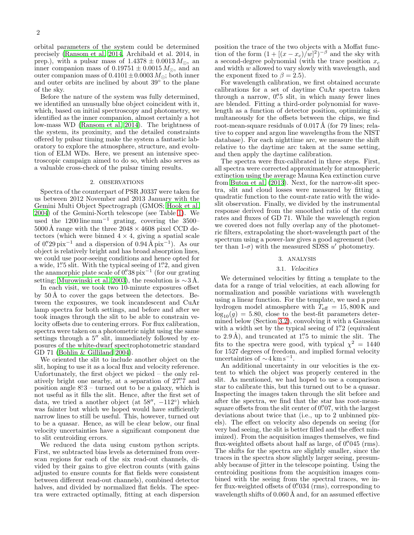orbital parameters of the system could be determined precisely [\(Ransom et al. 2014](#page-4-22), Archibald et al. 2014, in prep.), with a pulsar mass of  $1.4378 \pm 0.0013 M_{\odot}$ , an inner companion mass of  $0.19751 \pm 0.0015 M_{\odot}$ , and an outer companion mass of  $0.4101 \pm 0.0003 M_{\odot}$ ; both inner and outer orbits are inclined by about  $39°$  to the plane of the sky.

Before the nature of the system was fully determined, we identified an unusually blue object coincident with it, which, based on initial spectroscopy and photometry, we identified as the inner companion, almost certainly a hot low-mass WD [\(Ransom et al. 2014](#page-4-22)). The brightness of the system, its proximity, and the detailed constraints offered by pulsar timing make the system a fantastic laboratory to explore the atmosphere, structure, and evolution of ELM WDs. Here, we present an intensive spectroscopic campaign aimed to do so, which also serves as a valuable cross-check of the pulsar timing results.

## 2. OBSERVATIONS

Spectra of the counterpart of PSR J0337 were taken for us between 2012 November and 2013 January with the Gemini Multi Object Spectrograph (GMOS; [Hook et al.](#page-4-26) [2004\)](#page-4-26) of the Gemini-North telescope (see Table [1\)](#page-5-0). We used the 1200 line mm<sup>-1</sup> grating, covering the 3500–  $5000\,\textup{\AA}$  range with the three  $2048\times4608$  pixel CCD detectors (which were binned  $4 \times 4$ , giving a spatial scale of 0.'29 pix<sup>-1</sup> and a dispersion of  $0.94 \text{ Å} \text{ pix}^{-1}$ ). As our object is relatively bright and has broad absorption lines, we could use poor-seeing conditions and hence opted for a wide, 1" 5 slit. With the typical seeing of 1"2, and given the anamorphic plate scale of  $0.^{\prime\prime}38\,\mathrm{pix}^{-1}$  (for our grating setting; [Murowinski et al. 2003\)](#page-4-27), the resolution is  $\sim 3 \text{ Å}$ .

In each visit, we took two 10-minute exposures offset by  $50 \text{ Å}$  to cover the gaps between the detectors. Between the exposures, we took incandescent and CuAr lamp spectra for both settings, and before and after we took images through the slit to be able to constrain velocity offsets due to centering errors. For flux calibration, spectra were taken on a photometric night using the same settings through a 5" slit, immediately followed by exposures of the white-dwarf spectrophotometric standard GD 71 [\(Bohlin & Gilliland 2004\)](#page-4-28).

We oriented the slit to include another object on the slit, hoping to use it as a local flux and velocity reference. Unfortunately, the first object we picked – the only relatively bright one nearby, at a separation of  $27\rlap{.}^{\prime\prime}7$  and position angle  $8^\circ 3$  – turned out to be a galaxy, which is not useful as it fills the slit. Hence, after the first set of data, we tried a another object (at  $58''$ ,  $-112^{\circ}$ ) which was fainter but which we hoped would have sufficiently narrow lines to still be useful. This, however, turned out to be a quasar. Hence, as will be clear below, our final velocity uncertainties have a significant component due to slit centroiding errors.

We reduced the data using custom python scripts. First, we subtracted bias levels as determined from overscan regions for each of the six read-out channels, divided by their gains to give electron counts (with gains adjusted to ensure counts for flat fields were consistent between different read-out channels), combined detector halves, and divided by normalized flat fields. The spectra were extracted optimally, fitting at each dispersion

position the trace of the two objects with a Moffat function of the form  $(1+[(x-x_c)/w]^2)^{-\beta}$  and the sky with a second-degree polynomial (with the trace position  $x_c$ and width w allowed to vary slowly with wavelength, and the exponent fixed to  $\beta = 2.5$ ).

For wavelength calibration, we first obtained accurate calibrations for a set of daytime CuAr spectra taken through a narrow, 0" is slit, in which many fewer lines are blended. Fitting a third-order polynomial for wavelength as a function of detector position, optimizing simultaneously for the offsets between the chips, we find root-mean-square residuals of  $0.017 \text{\AA}$  (for 79 lines; relative to copper and argon line wavelengths from the NIST database). For each nighttime arc, we measure the shift relative to the daytime arc taken at the same setting, and then apply the daytime calibration.

The spectra were flux-calibrated in three steps. First, all spectra were corrected approximately for atmospheric extinction using the average Mauna Kea extinction curve from [Buton et al. \(2013](#page-4-29)). Next, for the narrow-slit spectra, slit and cloud losses were measured by fitting a quadratic function to the count-rate ratio with the wideslit observation. Finally, we divided by the instrumental response derived from the smoothed ratio of the count rates and fluxes of GD 71. While the wavelength region we covered does not fully overlap any of the photometric filters, extrapolating the short-wavelength part of the spectrum using a power-law gives a good agreement (better than  $1-\sigma$ ) with the measured SDSS u' photometry.

#### 3. ANALYSIS

### 3.1. Velocities

We determined velocities by fitting a template to the data for a range of trial velocities, at each allowing for normalization and possible variations with wavelength using a linear function. For the template, we used a pure hydrogen model atmosphere with  $T_{\text{eff}} = 15,800 \,\text{K}$  and  $log_{10}(g) = 5.80$ , close to the best-fit parameters determined below (Section [3.2\)](#page-2-0), convolving it with a Gaussian with a width set by the typical seeing of 1"2 (equivalent to 2.9 Å), and truncated at  $1\rlap.{''}5$  to mimic the slit. The fits to the spectra were good, with typical  $\chi^2 = 1440$ for 1527 degrees of freedom, and implied formal velocity uncertainties of  $\sim 4 \text{ km s}^{-1}$ .

An additional uncertainty in our velocities is the extent to which the object was properly centered in the slit. As mentioned, we had hoped to use a comparison star to calibrate this, but this turned out to be a quasar. Inspecting the images taken through the slit before and after the spectra, we find that the star has root-meansquare offsets from the slit center of 0'07, with the largest deviations about twice that (i.e., up to 2 unbinned pixels). The effect on velocity also depends on seeing (for very bad seeing, the slit is better filled and the effect minimized). From the acquisition images themselves, we find flux-weighted offsets about half as large, of 0. 045 (rms). The shifts for the spectra are slightly smaller, since the traces in the spectra show slightly larger seeing, presumably because of jitter in the telescope pointing. Using the centroiding positions from the acquisition images combined with the seeing from the spectral traces, we infer flux-weighted offsets of 0. 034 (rms), corresponding to wavelength shifts of  $0.060 \text{\AA}$  and, for an assumed effective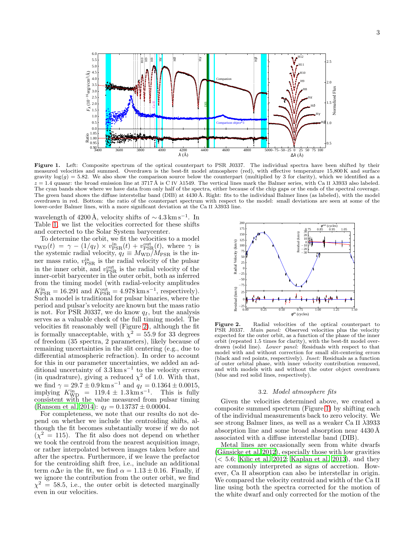

<span id="page-2-2"></span>Figure 1. Left: Composite spectrum of the optical counterpart to PSR J0337. The individual spectra have been shifted by their measured velocities and summed. Overdrawn is the best-fit model atmosphere (red), with effective temperature 15,800 K and surface gravity  $log(q) = 5.82$ . We also show the comparison source below the counterpart (multiplied by 3 for clarity), which we identified as a  $z = 1.4$  quasar: the broad emission line at 3717 Å is C IV  $\lambda$ 1549. The vertical lines mark the Balmer series, with Ca II  $\lambda$ 3933 also labeled. The cyan bands show where we have data from only half of the spectra, either because of the chip gaps or the ends of the spectral coverage. The green band shows the diffuse interstellar band (DIB) at 4430 Å. Right: fits to the individual Balmer lines (as labeled), with the model overdrawn in red. Bottom: the ratio of the counterpart spectrum with respect to the model: small deviations are seen at some of the lower-order Balmer lines, with a more significant deviation at the Ca II λ3933 line.

wavelength of 4200 Å, velocity shifts of  $\sim 4.3 \,\mathrm{km \, s^{-1}}$ . In Table [1,](#page-5-0) we list the velocities corrected for these shifts and corrected to the Solar System barycenter.

To determine the orbit, we fit the velocities to a model  $v_{\text{WD}}(t) = \gamma - (1/q_I) \times v_{\text{PSR}}^{\text{in}}(t) + v_{\text{PSR}}^{\text{out}}(t)$ , where  $\gamma$  is the systemic radial velocity,  $q_I \equiv M_{\text{WD}}/M_{\text{PSR}}$  is the inner mass ratio,  $v_{\rm PSR}^{\rm in}$  is the radial velocity of the pulsar in the inner orbit, and  $v_{\rm PSR}^{\rm out}$  is the radial velocity of the inner-orbit barycenter in the outer orbit, both as inferred from the timing model (with radial-velocity amplitudes  $K_{\text{PSR}}^{\text{in}} = 16.291$  and  $K_{\text{PSR}}^{\text{out}} = 4.978 \text{ km s}^{-1}$ , respectively). Such a model is traditional for pulsar binaries, where the period and pulsar's velocity are known but the mass ratio is not. For PSR J0337, we do know  $q_I$ , but the analysis serves as a valuable check of the full timing model. The velocities fit reasonably well (Figure [2\)](#page-2-1), although the fit is formally unacceptable, with  $\chi^2 = 55.9$  for 33 degrees of freedom (35 spectra, 2 parameters), likely because of remaining uncertainties in the slit centering (e.g., due to differential atmospheric refraction). In order to account for this in our parameter uncertainties, we added an additional uncertainty of 3.3 km s<sup>−</sup><sup>1</sup> to the velocity errors (in quadrature), giving a reduced  $\chi^2$  of 1.0. With that, we find  $\gamma = 29.7 \pm 0.9 \,\mathrm{km \,s}^{-1}$  and  $q_I = 0.1364 \pm 0.0015$ , implying  $K_{\text{WD}}^{\text{in}} = 119.4 \pm 1.3 \,\text{km s}^{-1}$ . This is fully consistent with the value measured from pulsar timing [\(Ransom et al. 2014\)](#page-4-22):  $q_I = 0.13737 \pm 0.00004$ .

For completeness, we note that our results do not depend on whether we include the centroiding shifts, although the fit becomes substantially worse if we do not  $(\chi^2 = 115)$ . The fit also does not depend on whether we took the centroid from the nearest acquisition image, or rather interpolated between images taken before and after the spectra. Furthermore, if we leave the prefactor for the centroiding shift free, i.e., include an additional term  $\alpha \Delta v$  in the fit, we find  $\alpha = 1.13 \pm 0.16$ . Finally, if we ignore the contribution from the outer orbit, we find  $\chi^2 = 58.5$ , i.e., the outer orbit is detected marginally even in our velocities.



<span id="page-2-1"></span>**Figure 2.** Radial velocities of the optical counterpart to PSR J0337. *Main panel:* Observed velocities plus the velocity Main panel: Observed velocities plus the velocity expected for the outer orbit, as a function of the phase of the inner orbit (repeated 1.5 times for clarity), with the best-fit model overdrawn (solid line). Lower panel: Residuals with respect to that model with and without correction for small slit-centering errors (black and red points, respectively). Inset: Residuals as a function of outer orbital phase, with inner velocity contribution removed, and with models with and without the outer object overdrawn (blue and red solid lines, respectively).

#### 3.2. Model atmosphere fits

<span id="page-2-0"></span>Given the velocities determined above, we created a composite summed spectrum (Figure [1\)](#page-2-2) by shifting each of the individual measurements back to zero velocity. We see strong Balmer lines, as well as a weaker Ca II λ3933 absorption line and some broad absorption near  $4430 \text{\AA}$ associated with a diffuse interstellar band (DIB).

Metal lines are occasionally seen from white dwarfs  $(G\ddot{a}n\text{sicke et al. } 2012)$ , especially those with low gravities  $\left($  < 5.6; [Kilic et al. 2012;](#page-4-1) [Kaplan et al. 2013\)](#page-4-15), and they are commonly interpreted as signs of accretion. However, Ca II absorption can also be interstellar in origin. We compared the velocity centroid and width of the Ca II line using both the spectra corrected for the motion of the white dwarf and only corrected for the motion of the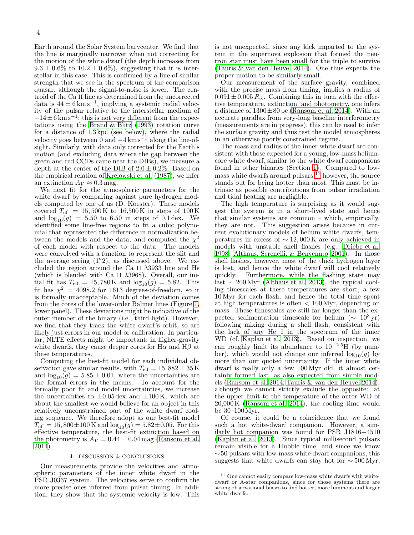Earth around the Solar System barycenter. We find that the line is marginally narrower when not correcting for the motion of the white dwarf (the depth increases from  $9.3 \pm 0.6\%$  to  $10.2 \pm 0.6\%$ ), suggesting that it is interstellar in this case. This is confirmed by a line of similar strength that we see in the spectrum of the comparison quasar, although the signal-to-noise is lower. The centroid of the Ca II line as determined from the uncorrected data is  $44 \pm 6 \,\mathrm{km \,s}^{-1}$ , implying a systemic radial velocity of the pulsar relative to the interstellar medium of  $-14 \pm 6 \,\mathrm{km\,s^{-1}}$ ; this is not very different from the expectations using the [Brand & Blitz \(1993](#page-4-31)) rotation curve for a distance of 1.3 kpc (see below), where the radial velocity goes between 0 and  $-4 \,\mathrm{km \, s^{-1}}$  along the line-ofsight. Similarly, with data only corrected for the Earth's motion (and excluding data where the gap between the green and red CCDs came near the DIBs), we measure a depth at the center of the DIB of  $2.0 \pm 0.2\%$ . Based on the empirical relation of [Krelowski et al. \(1987\)](#page-4-32), we infer an extinction  $A_V \approx 0.3$  mag.

We next fit for the atmospheric parameters for the white dwarf by comparing against pure hydrogen models computed by one of us (D. Koester). These models covered  $T_{\text{eff}} = 15,500 \,\text{K}$  to 16,500 K in steps of 100 K and  $log_{10}(g) = 5.50$  to 6.50 in steps of 0.1 dex. We identified some line-free regions to fit a cubic polynomial that represented the difference in normalization between the models and the data, and computed the  $\chi^2$ of each model with respect to the data. The models were convolved with a function to represent the slit and the average seeing  $(1\rlap.{''}2)$ , as discussed above. We excluded the region around the Ca II  $\lambda$ 3933 line and H $\epsilon$ (which is blended with Ca II  $\lambda$ 3968). Overall, our initial fit has  $T_{\text{eff}} = 15{,}780 \text{ K}$  and  $\log_{10}(g) = 5.82$ . This fit has  $\chi^2 = 4098.2$  for 1613 degrees-of-freedom, so it is formally unacceptable. Much of the deviation comes from the cores of the lower-order Balmer lines (Figure [1,](#page-2-2) lower panel). These deviations might be indicative of the outer member of the binary (i.e., third light). However, we find that they track the white dwarf's orbit, so are likely just errors in our model or calibration. In particular, NLTE effects might be important; in higher-gravity white dwarfs, they cause deeper cores for  $H\alpha$  and  $H\beta$  at these temperatures.

Computing the best-fit model for each individual observation gave similar results, with  $T_{\text{eff}} = 15,882 \pm 35 \,\text{K}$ and  $log_{10}(g) = 5.85 \pm 0.01$ , where the uncertainties are the formal errors in the means. To account for the formally poor fit and model uncertainties, we increase the uncertainties to  $\pm 0.05 \,\text{dex}$  and  $\pm 100 \,\text{K}$ , which are about the smallest we would believe for an object in this relatively unconstrained part of the white dwarf cooling sequence. We therefore adopt as our best-fit model  $T_{\text{eff}} = 15,800 \pm 100 \,\text{K}$  and  $\log_{10}(g) = 5.82 \pm 0.05$ . For this effective temperature, the best-fit extinction based on the photometry is  $A_V = 0.44 \pm 0.04$  mag [\(Ransom et al.](#page-4-22) [2014\)](#page-4-22).

#### 4. DISCUSSION & CONCLUSIONS

Our measurements provide the velocities and atmospheric parameters of the inner white dwarf in the PSR J0337 system. The velocities serve to confirm the more precise ones inferred from pulsar timing. In addition, they show that the systemic velocity is low. This is not unexpected, since any kick imparted to the system in the supernova explosion that formed the neutron star must have been small for the triple to survive [\(Tauris & van den Heuvel 2014\)](#page-4-33). One thus expects the proper motion to be similarly small.

Our measurement of the surface gravity, combined with the precise mass from timing, implies a radius of  $0.091 \pm 0.005 R_{\odot}$ . Combining this in turn with the effective temperature, extinction, and photometry, one infers a distance of  $1300 \pm 80$  pc [\(Ransom et al. 2014\)](#page-4-22). With an accurate parallax from very-long baseline interferometry (measurements are in progress), this can be used to infer the surface gravity and thus test the model atmospheres in an otherwise poorly constrained regime.

The mass and radius of the inner white dwarf are consistent with those expected for a young, low-mass heliumcore white dwarf, similar to the white dwarf companions found in other binaries (Section [1\)](#page-0-0). Compared to lowmass white dwarfs around pulsars,  $^{11}$  $^{11}$  $^{11}$  however, the source stands out for being hotter than most. This must be intrinsic as possible contributions from pulsar irradiation and tidal heating are negligible.

The high temperature is surprising as it would suggest the system is in a short-lived state and hence that similar systems are common – which, empirically, they are not. This suggestion arises because in current evolutionary models of helium white dwarfs, temperatures in excess of  $\sim$  12,000 K are only achieved in models with unstable shell flashes (e.g., [Driebe et al.](#page-4-34) [1998;](#page-4-34) [Althaus, Serenelli, & Benvenuto 2001\)](#page-4-35). In those shell flashes, however, most of the thick hydrogen layer is lost, and hence the white dwarf will cool relatively quickly. Furthermore, while the flashing state may Furthermore, while the flashing state may last ∼ 200 Myr [\(Althaus et al. 2013\)](#page-4-11), the typical cooling timescales at these temperatures are short, a few 10 Myr for each flash, and hence the total time spent at high temperatures is often < 100 Myr, depending on mass. These timescales are still far longer than the expected sedimentation timescale for helium ( $\sim 10^3 \text{ yr}$ ) following mixing during a shell flash, consistent with the lack of any He I in the spectrum of the inner WD (cf. [Kaplan et al. 2013\)](#page-4-15). Based on inspection, we can roughly limit its abundance to  $10^{-2.5}$ H (by number), which would not change our inferred  $\log_{10}(g)$  by more than our quoted uncertainty. If the inner white dwarf is really only a few 100 Myr old, it almost certainly formed last, as also expected from simple models [\(Ransom et al. 2014;](#page-4-22) [Tauris & van den Heuvel 2014](#page-4-33)), although we cannot strictly exclude the opposite: at the upper limit to the temperature of the outer WD of 20,000 K [\(Ransom et al. 2014\)](#page-4-22), the cooling time would be 30–100Myr.

Of course, it could be a coincidence that we found such a hot white-dwarf companion. However, a similarly hot companion was found for PSR J1816+4510 [\(Kaplan et al. 2013\)](#page-4-15). Since typical millisecond pulsars remain visible for a Hubble time, and since we know  $\sim$  50 pulsars with low-mass white dwarf companions, this suggests that white dwarfs can stay hot for  $\sim$  500 Myr,

<span id="page-3-0"></span><sup>&</sup>lt;sup>11</sup> One cannot easily compare low-mass white dwarfs with whitedwarf or A-star companions, since for those systems there are strong observational biases to find hotter, more luminous and larger white dwarfs.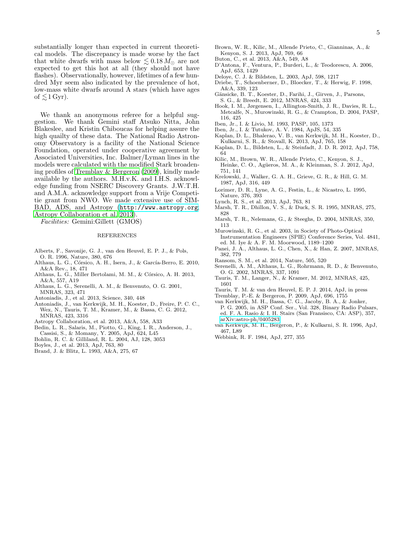substantially longer than expected in current theoretical models. The discrepancy is made worse by the fact that white dwarfs with mass below  $\lesssim 0.18 M_{\odot}$  are not expected to get this hot at all (they should not have flashes). Observationally, however, lifetimes of a few hundred Myr seem also indicated by the prevalence of hot, low-mass white dwarfs around A stars (which have ages of  $\lesssim 1$  Gyr).

We thank an anonymous referee for a helpful suggestion. We thank Gemini staff Atsuko Nitta, John Blakeslee, and Kristin Chiboucas for helping assure the high quailty of these data. The National Radio Astronomy Observatory is a facility of the National Science Foundation, operated under cooperative agreement by Associated Universities, Inc. Balmer/Lyman lines in the models were calculated with the modified Stark broadening profiles of [Tremblay & Bergeron \(2009\)](#page-4-36), kindly made available by the authors. M.H.v.K. and I.H.S. acknowledge funding from NSERC Discovery Grants. J.W.T.H. and A.M.A. acknowledge support from a Vrije Competitie grant from NWO. We made extensive use of SIM-BAD, ADS, and Astropy (<http://www.astropy.org>; [Astropy Collaboration et al. 2013\)](#page-4-37).

Facilities: Gemini:Gillett (GMOS)

#### REFERENCES

- <span id="page-4-8"></span>Alberts, F., Savonije, G. J., van den Heuvel, E. P. J., & Pols, O. R. 1996, Nature, 380, 676
- <span id="page-4-0"></span>Althaus, L. G., Córsico, A. H., Isern, J., & García-Berro, E. 2010, A&A Rev., 18, 471
- <span id="page-4-11"></span>Althaus, L. G., Miller Bertolami, M. M., & Córsico, A. H. 2013, A&A, 557, A19
- <span id="page-4-35"></span>Althaus, L. G., Serenelli, A. M., & Benvenuto, O. G. 2001, MNRAS, 323, 471
- <span id="page-4-14"></span>Antoniadis, J., et al. 2013, Science, 340, 448
- <span id="page-4-13"></span>Antoniadis, J., van Kerkwijk, M. H., Koester, D., Freire, P. C. C., Wex, N., Tauris, T. M., Kramer, M., & Bassa, C. G. 2012, MNRAS, 423, 3316
- <span id="page-4-37"></span>Astropy Collaboration, et al. 2013, A&A, 558, A33
- <span id="page-4-4"></span>Bedin, L. R., Salaris, M., Piotto, G., King, I. R., Anderson, J.,
- Cassisi, S., & Momany, Y. 2005, ApJ, 624, L45
- <span id="page-4-28"></span>Bohlin, R. C. & Gilliland, R. L. 2004, AJ, 128, 3053
- <span id="page-4-23"></span>Boyles, J., et al. 2013, ApJ, 763, 80
- <span id="page-4-31"></span>Brand, J. & Blitz, L. 1993, A&A, 275, 67
- <span id="page-4-2"></span>Brown, W. R., Kilic, M., Allende Prieto, C., Gianninas, A., & Kenyon, S. J. 2013, ApJ, 769, 66
- <span id="page-4-29"></span>Buton, C., et al. 2013, A&A, 549, A8
- <span id="page-4-18"></span>D'Antona, F., Ventura, P., Burderi, L., & Teodorescu, A. 2006, ApJ, 653, 1429
- <span id="page-4-16"></span>Deloye, C. J. & Bildsten, L. 2003, ApJ, 598, 1217
- <span id="page-4-34"></span>Driebe, T., Schoenberner, D., Bloecker, T., & Herwig, F. 1998, A&A, 339, 123
- <span id="page-4-30"></span>Gänsicke, B. T., Koester, D., Farihi, J., Girven, J., Parsons, S. G., & Breedt, E. 2012, MNRAS, 424, 333
- <span id="page-4-26"></span>Hook, I. M., Jørgensen, I., Allington-Smith, J. R., Davies, R. L., Metcalfe, N., Murowinski, R. G., & Crampton, D. 2004, PASP, 116, 425
- <span id="page-4-5"></span>Iben, Jr., I. & Livio, M. 1993, PASP, 105, 1373
- <span id="page-4-20"></span>Iben, Jr., I. & Tutukov, A. V. 1984, ApJS, 54, 335
- <span id="page-4-15"></span>Kaplan, D. L., Bhalerao, V. B., van Kerkwijk, M. H., Koester, D., Kulkarni, S. R., & Stovall, K. 2013, ApJ, 765, 158
- <span id="page-4-19"></span>Kaplan, D. L., Bildsten, L., & Steinfadt, J. D. R. 2012, ApJ, 758, 64
- <span id="page-4-1"></span>Kilic, M., Brown, W. R., Allende Prieto, C., Kenyon, S. J., Heinke, C. O., Agüeros, M. A., & Kleinman, S. J. 2012, ApJ, 751, 141
- <span id="page-4-32"></span>Krelowski, J., Walker, G. A. H., Grieve, G. R., & Hill, G. M. 1987, ApJ, 316, 449
- <span id="page-4-7"></span>Lorimer, D. R., Lyne, A. G., Festin, L., & Nicastro, L. 1995, Nature, 376, 393
- <span id="page-4-24"></span>Lynch, R. S., et al. 2013, ApJ, 763, 81
- <span id="page-4-6"></span>Marsh, T. R., Dhillon, V. S., & Duck, S. R. 1995, MNRAS, 275, 828
- <span id="page-4-17"></span>Marsh, T. R., Nelemans, G., & Steeghs, D. 2004, MNRAS, 350, 113
- <span id="page-4-27"></span>Murowinski, R. G., et al. 2003, in Society of Photo-Optical Instrumentation Engineers (SPIE) Conference Series, Vol. 4841, ed. M. Iye & A. F. M. Moorwood, 1189–1200
- <span id="page-4-10"></span>Panei, J. A., Althaus, L. G., Chen, X., & Han, Z. 2007, MNRAS, 382, 779
- <span id="page-4-22"></span>Ransom, S. M., et al. 2014, Nature, 505, 520
- <span id="page-4-9"></span>Serenelli, A. M., Althaus, L. G., Rohrmann, R. D., & Benvenuto, O. G. 2002, MNRAS, 337, 1091
- <span id="page-4-12"></span>Tauris, T. M., Langer, N., & Kramer, M. 2012, MNRAS, 425, 1601
- <span id="page-4-33"></span>Tauris, T. M. & van den Heuvel, E. P. J. 2014, ApJ, in press
- <span id="page-4-36"></span>Tremblay, P.-E. & Bergeron, P. 2009, ApJ, 696, 1755
- <span id="page-4-25"></span>van Kerkwijk, M. H., Bassa, C. G., Jacoby, B. A., & Jonker, P. G. 2005, in ASP Conf. Ser., Vol. 328, Binary Radio Pulsars, ed. F. A. Rasio & I. H. Stairs (San Fransisco, CA: ASP), 357, [arXiv:astro-ph/0405283](http://arxiv.org/abs/astro-ph/0405283)
- <span id="page-4-3"></span>van Kerkwijk, M. H., Bergeron, P., & Kulkarni, S. R. 1996, ApJ, 467, L89
- <span id="page-4-21"></span>Webbink, R. F. 1984, ApJ, 277, 355